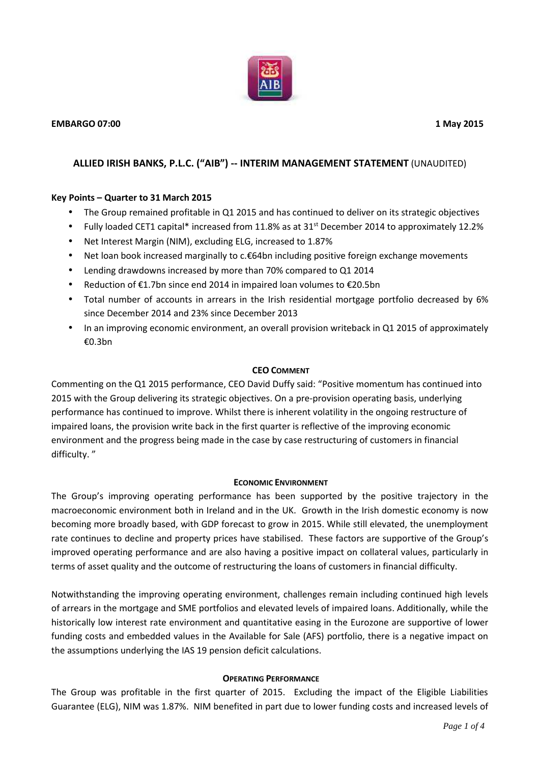

# **ALLIED IRISH BANKS, P.L.C. ("AIB") -- INTERIM MANAGEMENT STATEMENT** (UNAUDITED)

## **Key Points – Quarter to 31 March 2015**

- The Group remained profitable in Q1 2015 and has continued to deliver on its strategic objectives
- Fully loaded CET1 capital\* increased from 11.8% as at 31<sup>st</sup> December 2014 to approximately 12.2%
- Net Interest Margin (NIM), excluding ELG, increased to 1.87%
- Net loan book increased marginally to c.€64bn including positive foreign exchange movements
- Lending drawdowns increased by more than 70% compared to Q1 2014
- Reduction of €1.7bn since end 2014 in impaired loan volumes to €20.5bn
- Total number of accounts in arrears in the Irish residential mortgage portfolio decreased by 6% since December 2014 and 23% since December 2013
- In an improving economic environment, an overall provision writeback in Q1 2015 of approximately €0.3bn

### **CEO COMMENT**

Commenting on the Q1 2015 performance, CEO David Duffy said: "Positive momentum has continued into 2015 with the Group delivering its strategic objectives. On a pre-provision operating basis, underlying performance has continued to improve. Whilst there is inherent volatility in the ongoing restructure of impaired loans, the provision write back in the first quarter is reflective of the improving economic environment and the progress being made in the case by case restructuring of customers in financial difficulty. "

### **ECONOMIC ENVIRONMENT**

The Group's improving operating performance has been supported by the positive trajectory in the macroeconomic environment both in Ireland and in the UK. Growth in the Irish domestic economy is now becoming more broadly based, with GDP forecast to grow in 2015. While still elevated, the unemployment rate continues to decline and property prices have stabilised. These factors are supportive of the Group's improved operating performance and are also having a positive impact on collateral values, particularly in terms of asset quality and the outcome of restructuring the loans of customers in financial difficulty.

Notwithstanding the improving operating environment, challenges remain including continued high levels of arrears in the mortgage and SME portfolios and elevated levels of impaired loans. Additionally, while the historically low interest rate environment and quantitative easing in the Eurozone are supportive of lower funding costs and embedded values in the Available for Sale (AFS) portfolio, there is a negative impact on the assumptions underlying the IAS 19 pension deficit calculations.

### **OPERATING PERFORMANCE**

The Group was profitable in the first quarter of 2015. Excluding the impact of the Eligible Liabilities Guarantee (ELG), NIM was 1.87%. NIM benefited in part due to lower funding costs and increased levels of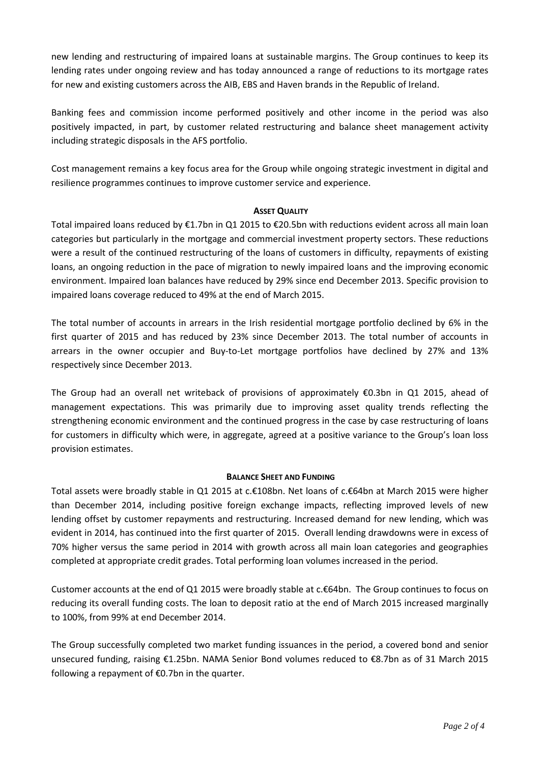new lending and restructuring of impaired loans at sustainable margins. The Group continues to keep its lending rates under ongoing review and has today announced a range of reductions to its mortgage rates for new and existing customers across the AIB, EBS and Haven brands in the Republic of Ireland.

Banking fees and commission income performed positively and other income in the period was also positively impacted, in part, by customer related restructuring and balance sheet management activity including strategic disposals in the AFS portfolio.

Cost management remains a key focus area for the Group while ongoing strategic investment in digital and resilience programmes continues to improve customer service and experience.

### **ASSET QUALITY**

Total impaired loans reduced by €1.7bn in Q1 2015 to €20.5bn with reductions evident across all main loan categories but particularly in the mortgage and commercial investment property sectors. These reductions were a result of the continued restructuring of the loans of customers in difficulty, repayments of existing loans, an ongoing reduction in the pace of migration to newly impaired loans and the improving economic environment. Impaired loan balances have reduced by 29% since end December 2013. Specific provision to impaired loans coverage reduced to 49% at the end of March 2015.

The total number of accounts in arrears in the Irish residential mortgage portfolio declined by 6% in the first quarter of 2015 and has reduced by 23% since December 2013. The total number of accounts in arrears in the owner occupier and Buy-to-Let mortgage portfolios have declined by 27% and 13% respectively since December 2013.

The Group had an overall net writeback of provisions of approximately €0.3bn in Q1 2015, ahead of management expectations. This was primarily due to improving asset quality trends reflecting the strengthening economic environment and the continued progress in the case by case restructuring of loans for customers in difficulty which were, in aggregate, agreed at a positive variance to the Group's loan loss provision estimates.

### **BALANCE SHEET AND FUNDING**

Total assets were broadly stable in Q1 2015 at c.€108bn. Net loans of c.€64bn at March 2015 were higher than December 2014, including positive foreign exchange impacts, reflecting improved levels of new lending offset by customer repayments and restructuring. Increased demand for new lending, which was evident in 2014, has continued into the first quarter of 2015. Overall lending drawdowns were in excess of 70% higher versus the same period in 2014 with growth across all main loan categories and geographies completed at appropriate credit grades. Total performing loan volumes increased in the period.

Customer accounts at the end of Q1 2015 were broadly stable at c.€64bn. The Group continues to focus on reducing its overall funding costs. The loan to deposit ratio at the end of March 2015 increased marginally to 100%, from 99% at end December 2014.

The Group successfully completed two market funding issuances in the period, a covered bond and senior unsecured funding, raising €1.25bn. NAMA Senior Bond volumes reduced to €8.7bn as of 31 March 2015 following a repayment of  $€0.7$ bn in the quarter.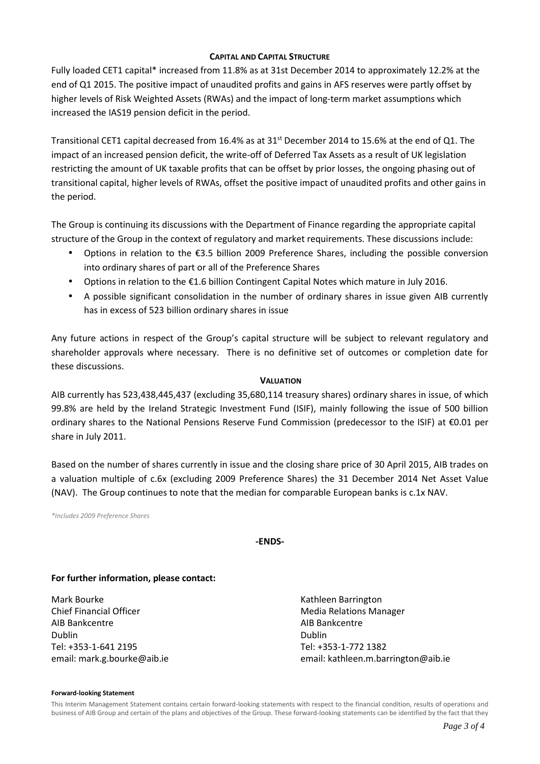#### **CAPITAL AND CAPITAL STRUCTURE**

Fully loaded CET1 capital\* increased from 11.8% as at 31st December 2014 to approximately 12.2% at the end of Q1 2015. The positive impact of unaudited profits and gains in AFS reserves were partly offset by higher levels of Risk Weighted Assets (RWAs) and the impact of long-term market assumptions which increased the IAS19 pension deficit in the period.

Transitional CET1 capital decreased from 16.4% as at 31<sup>st</sup> December 2014 to 15.6% at the end of Q1. The impact of an increased pension deficit, the write-off of Deferred Tax Assets as a result of UK legislation restricting the amount of UK taxable profits that can be offset by prior losses, the ongoing phasing out of transitional capital, higher levels of RWAs, offset the positive impact of unaudited profits and other gains in the period.

The Group is continuing its discussions with the Department of Finance regarding the appropriate capital structure of the Group in the context of regulatory and market requirements. These discussions include:

- Options in relation to the €3.5 billion 2009 Preference Shares, including the possible conversion into ordinary shares of part or all of the Preference Shares
- Options in relation to the €1.6 billion Contingent Capital Notes which mature in July 2016.
- A possible significant consolidation in the number of ordinary shares in issue given AIB currently has in excess of 523 billion ordinary shares in issue

Any future actions in respect of the Group's capital structure will be subject to relevant regulatory and shareholder approvals where necessary. There is no definitive set of outcomes or completion date for these discussions.

#### **VALUATION**

AIB currently has 523,438,445,437 (excluding 35,680,114 treasury shares) ordinary shares in issue, of which 99.8% are held by the Ireland Strategic Investment Fund (ISIF), mainly following the issue of 500 billion ordinary shares to the National Pensions Reserve Fund Commission (predecessor to the ISIF) at €0.01 per share in July 2011.

Based on the number of shares currently in issue and the closing share price of 30 April 2015, AIB trades on a valuation multiple of c.6x (excluding 2009 Preference Shares) the 31 December 2014 Net Asset Value (NAV). The Group continues to note that the median for comparable European banks is c.1x NAV.

*\*Includes 2009 Preference Shares*

## **-ENDS-**

## **For further information, please contact:**

Mark Bourke **Kathleen Barrington** Chief Financial Officer **Media Relations Manager** Media Relations Manager AIB Bankcentre AIB Bankcentre Dublin Dublin Tel: +353-1-641 2195 Tel: +353-1-772 1382

email: mark.g.bourke@aib.ie email: kathleen.m.barrington@aib.ie

#### **Forward-looking Statement**

This Interim Management Statement contains certain forward-looking statements with respect to the financial condition, results of operations and business of AIB Group and certain of the plans and objectives of the Group. These forward-looking statements can be identified by the fact that they